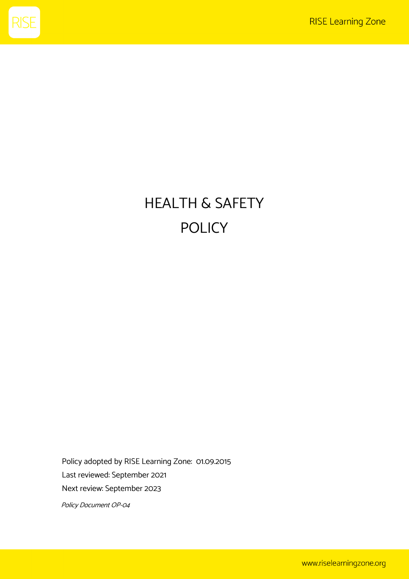

# HEALTH & SAFETY POLICY

Policy adopted by RISE Learning Zone: 01.09.2015 Last reviewed: September 2021 Next review: September 2023

Policy Document OP-04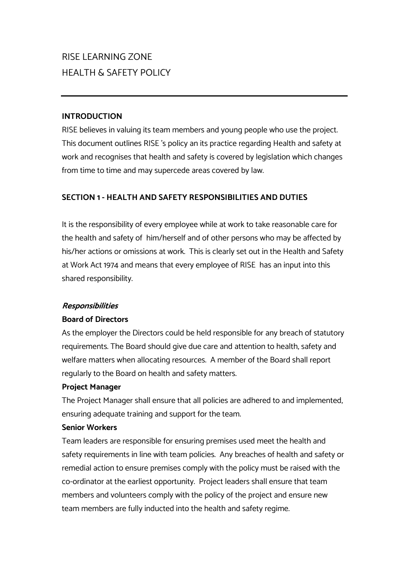# RISE LEARNING ZONE HEALTH & SAFETY POLICY

## **INTRODUCTION**

RISE believes in valuing its team members and young people who use the project. This document outlines RISE 's policy an its practice regarding Health and safety at work and recognises that health and safety is covered by legislation which changes from time to time and may supercede areas covered by law.

## **SECTION 1 - HEALTH AND SAFETY RESPONSIBILITIES AND DUTIES**

It is the responsibility of every employee while at work to take reasonable care for the health and safety of him/herself and of other persons who may be affected by his/her actions or omissions at work. This is clearly set out in the Health and Safety at Work Act 1974 and means that every employee of RISE has an input into this shared responsibility.

#### **Responsibilities**

#### **Board of Directors**

As the employer the Directors could be held responsible for any breach of statutory requirements. The Board should give due care and attention to health, safety and welfare matters when allocating resources. A member of the Board shall report regularly to the Board on health and safety matters.

#### **Project Manager**

The Project Manager shall ensure that all policies are adhered to and implemented, ensuring adequate training and support for the team.

#### **Senior Workers**

Team leaders are responsible for ensuring premises used meet the health and safety requirements in line with team policies. Any breaches of health and safety or remedial action to ensure premises comply with the policy must be raised with the co-ordinator at the earliest opportunity. Project leaders shall ensure that team members and volunteers comply with the policy of the project and ensure new team members are fully inducted into the health and safety regime.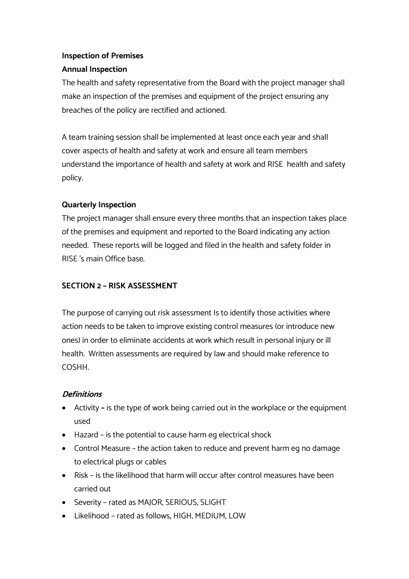# **Inspection of Premises**

# **Annual Inspection**

The health and safety representative from the Board with the project manager shall make an inspection of the premises and equipment of the project ensuring any breaches of the policy are rectified and actioned.

A team training session shall be implemented at least once each year and shall cover aspects of health and safety at work and ensure all team members understand the importance of health and safety at work and RISE health and safety policy.

# **Quarterly Inspection**

The project manager shall ensure every three months that an inspection takes place of the premises and equipment and reported to the Board indicating any action needed. These reports will be logged and filed in the health and safety folder in RISE 's main Office base.

# **SECTION 2 – RISK ASSESSMENT**

The purpose of carrying out risk assessment Is to identify those activities where action needs to be taken to improve existing control measures (or introduce new ones) in order to eliminate accidents at work which result in personal injury or ill health. Written assessments are required by law and should make reference to COSHH.

# **Definitions**

- Activity **–** is the type of work being carried out in the workplace or the equipment used
- Hazard is the potential to cause harm eg electrical shock
- Control Measure the action taken to reduce and prevent harm eg no damage to electrical plugs or cables
- Risk is the likelihood that harm will occur after control measures have been carried out
- Severity rated as MAJOR, SERIOUS, SLIGHT
- Likelihood rated as follows, HIGH, MEDIUM, LOW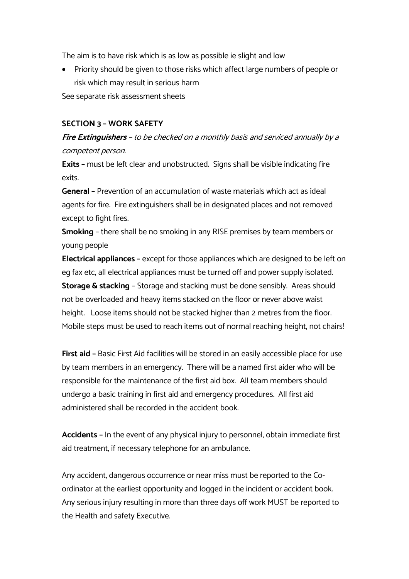The aim is to have risk which is as low as possible ie slight and low

• Priority should be given to those risks which affect large numbers of people or risk which may result in serious harm

See separate risk assessment sheets

#### **SECTION 3 – WORK SAFETY**

**Fire Extinguishers** – to be checked on a monthly basis and serviced annually by a competent person.

**Exits –** must be left clear and unobstructed. Signs shall be visible indicating fire exits.

**General –** Prevention of an accumulation of waste materials which act as ideal agents for fire. Fire extinguishers shall be in designated places and not removed except to fight fires.

**Smoking** – there shall be no smoking in any RISE premises by team members or young people

**Electrical appliances –** except for those appliances which are designed to be left on eg fax etc, all electrical appliances must be turned off and power supply isolated. **Storage & stacking** – Storage and stacking must be done sensibly. Areas should not be overloaded and heavy items stacked on the floor or never above waist height. Loose items should not be stacked higher than 2 metres from the floor. Mobile steps must be used to reach items out of normal reaching height, not chairs!

**First aid –** Basic First Aid facilities will be stored in an easily accessible place for use by team members in an emergency. There will be a named first aider who will be responsible for the maintenance of the first aid box. All team members should undergo a basic training in first aid and emergency procedures. All first aid administered shall be recorded in the accident book.

**Accidents –** In the event of any physical injury to personnel, obtain immediate first aid treatment, if necessary telephone for an ambulance.

Any accident, dangerous occurrence or near miss must be reported to the Coordinator at the earliest opportunity and logged in the incident or accident book. Any serious injury resulting in more than three days off work MUST be reported to the Health and safety Executive.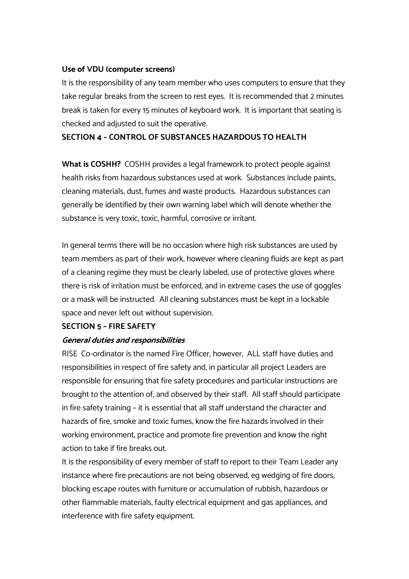#### **Use of VDU (computer screens)**

It is the responsibility of any team member who uses computers to ensure that they take regular breaks from the screen to rest eyes. It is recommended that 2 minutes break is taken for every 15 minutes of keyboard work. It is important that seating is checked and adjusted to suit the operative.

#### **SECTION 4 – CONTROL OF SUBSTANCES HAZARDOUS TO HEALTH**

**What is COSHH?** COSHH provides a legal framework to protect people against health risks from hazardous substances used at work. Substances include paints, cleaning materials, dust, fumes and waste products. Hazardous substances can generally be identified by their own warning label which will denote whether the substance is very toxic, toxic, harmful, corrosive or irritant.

In general terms there will be no occasion where high risk substances are used by team members as part of their work, however where cleaning fluids are kept as part of a cleaning regime they must be clearly labeled, use of protective gloves where there is risk of irritation must be enforced, and in extreme cases the use of goggles or a mask will be instructed. All cleaning substances must be kept in a lockable space and never left out without supervision.

#### **SECTION 5 – FIRE SAFETY**

#### **General duties and responsibilities**

RISE Co-ordinator is the named Fire Officer, however, ALL staff have duties and responsibilities in respect of fire safety and, in particular all project Leaders are responsible for ensuring that fire safety procedures and particular instructions are brought to the attention of, and observed by their staff. All staff should participate in fire safety training – it is essential that all staff understand the character and hazards of fire, smoke and toxic fumes; know the fire hazards involved in their working environment; practice and promote fire prevention and know the right action to take if fire breaks out.

It is the responsibility of every member of staff to report to their Team Leader any instance where fire precautions are not being observed, eg wedging of fire doors, blocking escape routes with furniture or accumulation of rubbish, hazardous or other flammable materials, faulty electrical equipment and gas appliances, and interference with fire safety equipment.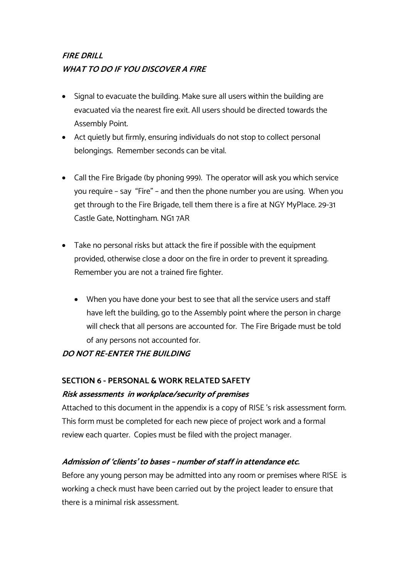# **FIRE DRILL WHAT TO DO IF YOU DISCOVER A FIRE**

- Signal to evacuate the building. Make sure all users within the building are evacuated via the nearest fire exit. All users should be directed towards the Assembly Point.
- Act quietly but firmly, ensuring individuals do not stop to collect personal belongings. Remember seconds can be vital.
- Call the Fire Brigade (by phoning 999). The operator will ask you which service you require – say "Fire" – and then the phone number you are using. When you get through to the Fire Brigade, tell them there is a fire at NGY MyPlace. 29-31 Castle Gate, Nottingham. NG1 7AR
- Take no personal risks but attack the fire if possible with the equipment provided, otherwise close a door on the fire in order to prevent it spreading. Remember you are not a trained fire fighter.
	- When you have done your best to see that all the service users and staff have left the building, go to the Assembly point where the person in charge will check that all persons are accounted for. The Fire Brigade must be told of any persons not accounted for.

# **DO NOT RE-ENTER THE BUILDING**

# **SECTION 6 - PERSONAL & WORK RELATED SAFETY Risk assessments in workplace/security of premises**

Attached to this document in the appendix is a copy of RISE 's risk assessment form. This form must be completed for each new piece of project work and a formal review each quarter. Copies must be filed with the project manager.

# **Admission of 'clients' to bases – number of staff in attendance etc.**

Before any young person may be admitted into any room or premises where RISE is working a check must have been carried out by the project leader to ensure that there is a minimal risk assessment.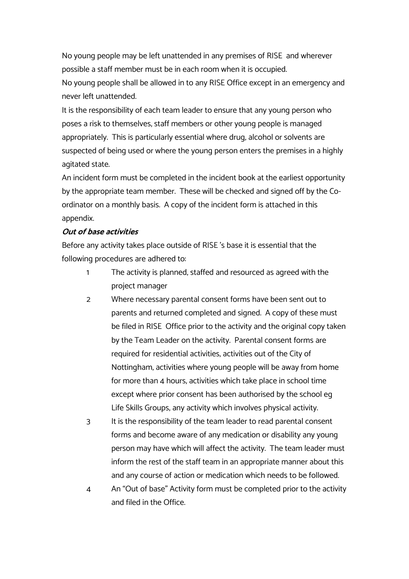No young people may be left unattended in any premises of RISE and wherever possible a staff member must be in each room when it is occupied.

No young people shall be allowed in to any RISE Office except in an emergency and never left unattended.

It is the responsibility of each team leader to ensure that any young person who poses a risk to themselves, staff members or other young people is managed appropriately. This is particularly essential where drug, alcohol or solvents are suspected of being used or where the young person enters the premises in a highly agitated state.

An incident form must be completed in the incident book at the earliest opportunity by the appropriate team member. These will be checked and signed off by the Coordinator on a monthly basis. A copy of the incident form is attached in this appendix.

#### **Out of base activities**

Before any activity takes place outside of RISE 's base it is essential that the following procedures are adhered to:

- 1 The activity is planned, staffed and resourced as agreed with the project manager
- 2 Where necessary parental consent forms have been sent out to parents and returned completed and signed. A copy of these must be filed in RISE Office prior to the activity and the original copy taken by the Team Leader on the activity. Parental consent forms are required for residential activities, activities out of the City of Nottingham, activities where young people will be away from home for more than 4 hours, activities which take place in school time except where prior consent has been authorised by the school eg Life Skills Groups, any activity which involves physical activity.
- 3 It is the responsibility of the team leader to read parental consent forms and become aware of any medication or disability any young person may have which will affect the activity. The team leader must inform the rest of the staff team in an appropriate manner about this and any course of action or medication which needs to be followed.
- 4 An "Out of base" Activity form must be completed prior to the activity and filed in the Office.